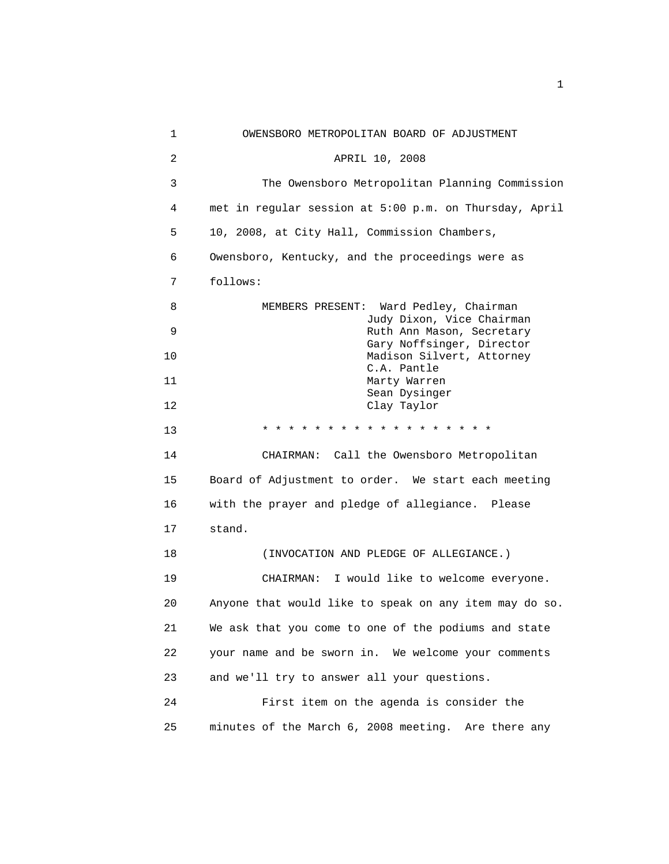| 1  | OWENSBORO METROPOLITAN BOARD OF ADJUSTMENT             |
|----|--------------------------------------------------------|
| 2  | APRIL 10, 2008                                         |
| 3  | The Owensboro Metropolitan Planning Commission         |
| 4  | met in regular session at 5:00 p.m. on Thursday, April |
| 5  | 10, 2008, at City Hall, Commission Chambers,           |
| 6  | Owensboro, Kentucky, and the proceedings were as       |
| 7  | follows:                                               |
| 8  | MEMBERS PRESENT: Ward Pedley, Chairman                 |
| 9  | Judy Dixon, Vice Chairman<br>Ruth Ann Mason, Secretary |
| 10 | Gary Noffsinger, Director<br>Madison Silvert, Attorney |
| 11 | C.A. Pantle<br>Marty Warren                            |
| 12 | Sean Dysinger<br>Clay Taylor                           |
| 13 | * * * * * * * * * * * * * * * * * *                    |
| 14 | CHAIRMAN: Call the Owensboro Metropolitan              |
| 15 | Board of Adjustment to order. We start each meeting    |
| 16 | with the prayer and pledge of allegiance. Please       |
| 17 | stand.                                                 |
| 18 | (INVOCATION AND PLEDGE OF ALLEGIANCE.)                 |
| 19 | CHAIRMAN: I would like to welcome everyone.            |
| 20 | Anyone that would like to speak on any item may do so. |
| 21 | We ask that you come to one of the podiums and state   |
| 22 | your name and be sworn in. We welcome your comments    |
| 23 | and we'll try to answer all your questions.            |
| 24 | First item on the agenda is consider the               |
| 25 | minutes of the March 6, 2008 meeting. Are there any    |
|    |                                                        |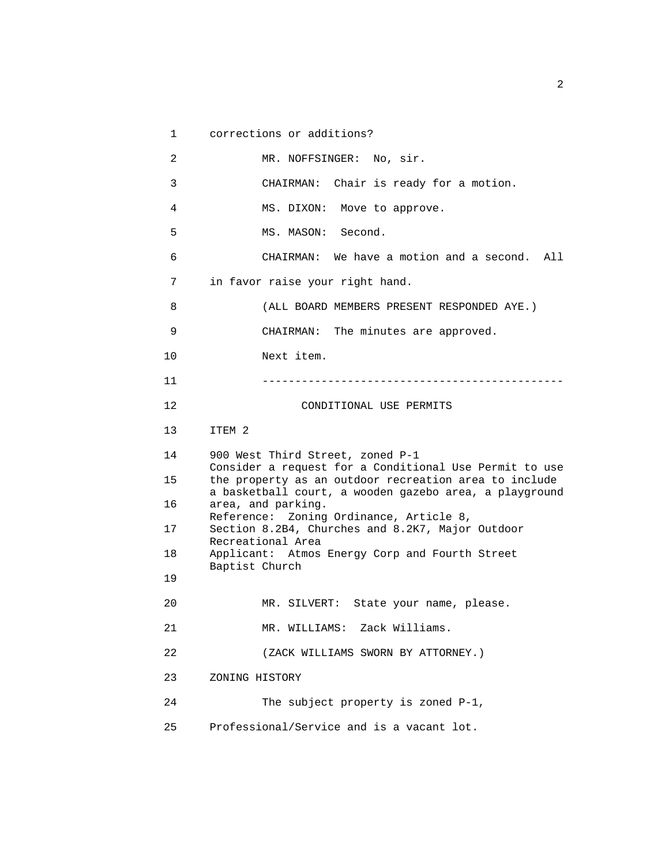```
 1 corrections or additions? 
 2 MR. NOFFSINGER: No, sir. 
 3 CHAIRMAN: Chair is ready for a motion. 
 4 MS. DIXON: Move to approve. 
 5 MS. MASON: Second. 
 6 CHAIRMAN: We have a motion and a second. All 
 7 in favor raise your right hand. 
 8 (ALL BOARD MEMBERS PRESENT RESPONDED AYE.) 
 9 CHAIRMAN: The minutes are approved. 
 10 Next item. 
 11 ---------------------------------------------- 
 12 CONDITIONAL USE PERMITS 
 13 ITEM 2 
 14 900 West Third Street, zoned P-1 
       Consider a request for a Conditional Use Permit to use 
 15 the property as an outdoor recreation area to include 
       a basketball court, a wooden gazebo area, a playground 
 16 area, and parking. 
       Reference: Zoning Ordinance, Article 8, 
 17 Section 8.2B4, Churches and 8.2K7, Major Outdoor 
       Recreational Area 
 18 Applicant: Atmos Energy Corp and Fourth Street 
       Baptist Church 
 19 
 20 MR. SILVERT: State your name, please. 
 21 MR. WILLIAMS: Zack Williams. 
 22 (ZACK WILLIAMS SWORN BY ATTORNEY.) 
 23 ZONING HISTORY 
 24 The subject property is zoned P-1, 
 25 Professional/Service and is a vacant lot.
```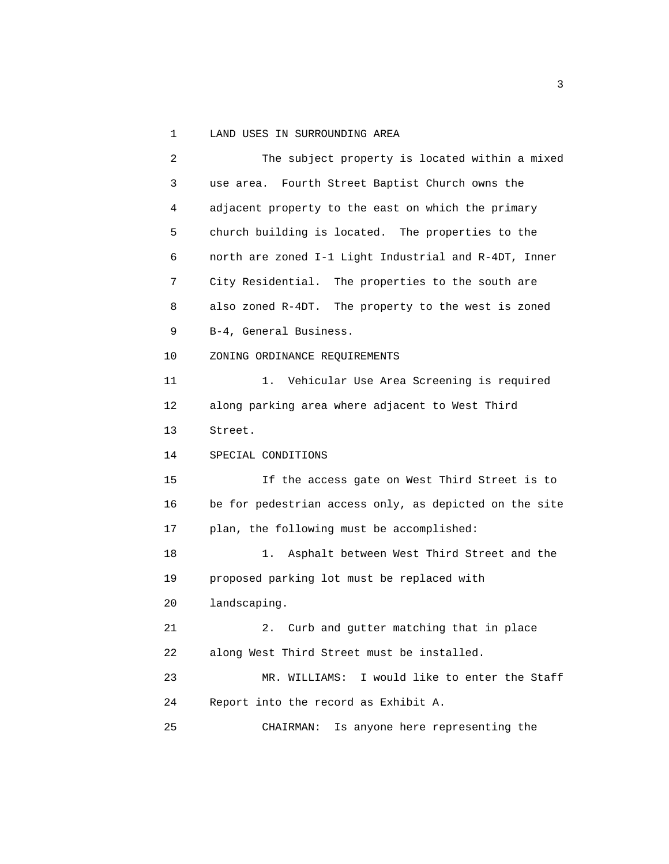1 LAND USES IN SURROUNDING AREA

 2 The subject property is located within a mixed 3 use area. Fourth Street Baptist Church owns the 4 adjacent property to the east on which the primary 5 church building is located. The properties to the 6 north are zoned I-1 Light Industrial and R-4DT, Inner 7 City Residential. The properties to the south are 8 also zoned R-4DT. The property to the west is zoned 9 B-4, General Business. 10 ZONING ORDINANCE REQUIREMENTS 11 1. Vehicular Use Area Screening is required 12 along parking area where adjacent to West Third 13 Street. 14 SPECIAL CONDITIONS 15 If the access gate on West Third Street is to 16 be for pedestrian access only, as depicted on the site 17 plan, the following must be accomplished: 18 1. Asphalt between West Third Street and the 19 proposed parking lot must be replaced with 20 landscaping. 21 2. Curb and gutter matching that in place 22 along West Third Street must be installed. 23 MR. WILLIAMS: I would like to enter the Staff 24 Report into the record as Exhibit A. 25 CHAIRMAN: Is anyone here representing the

 $\sim$  3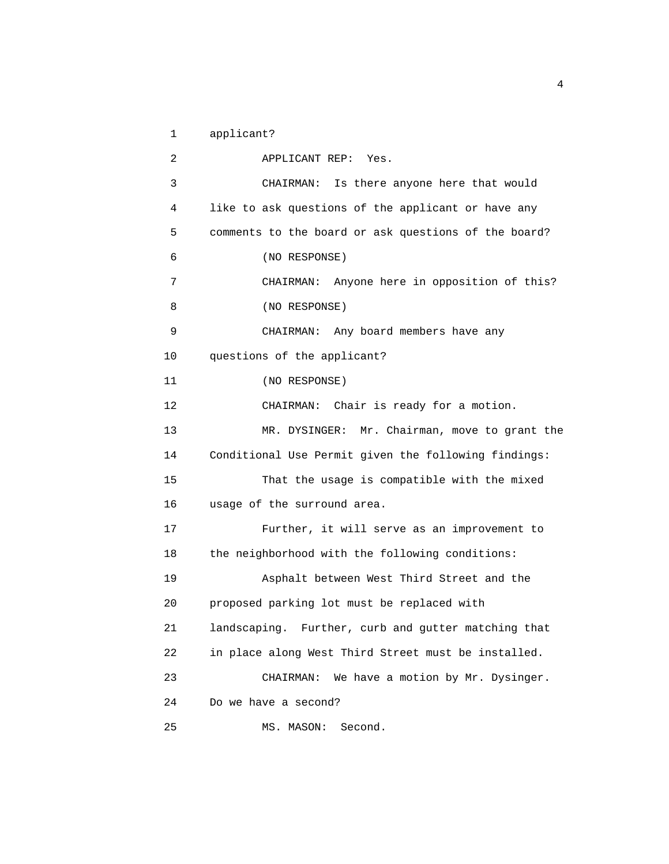1 applicant?

 2 APPLICANT REP: Yes. 3 CHAIRMAN: Is there anyone here that would 4 like to ask questions of the applicant or have any 5 comments to the board or ask questions of the board? 6 (NO RESPONSE) 7 CHAIRMAN: Anyone here in opposition of this? 8 (NO RESPONSE) 9 CHAIRMAN: Any board members have any 10 questions of the applicant? 11 (NO RESPONSE) 12 CHAIRMAN: Chair is ready for a motion. 13 MR. DYSINGER: Mr. Chairman, move to grant the 14 Conditional Use Permit given the following findings: 15 That the usage is compatible with the mixed 16 usage of the surround area. 17 Further, it will serve as an improvement to 18 the neighborhood with the following conditions: 19 Asphalt between West Third Street and the 20 proposed parking lot must be replaced with 21 landscaping. Further, curb and gutter matching that 22 in place along West Third Street must be installed. 23 CHAIRMAN: We have a motion by Mr. Dysinger. 24 Do we have a second? 25 MS. MASON: Second.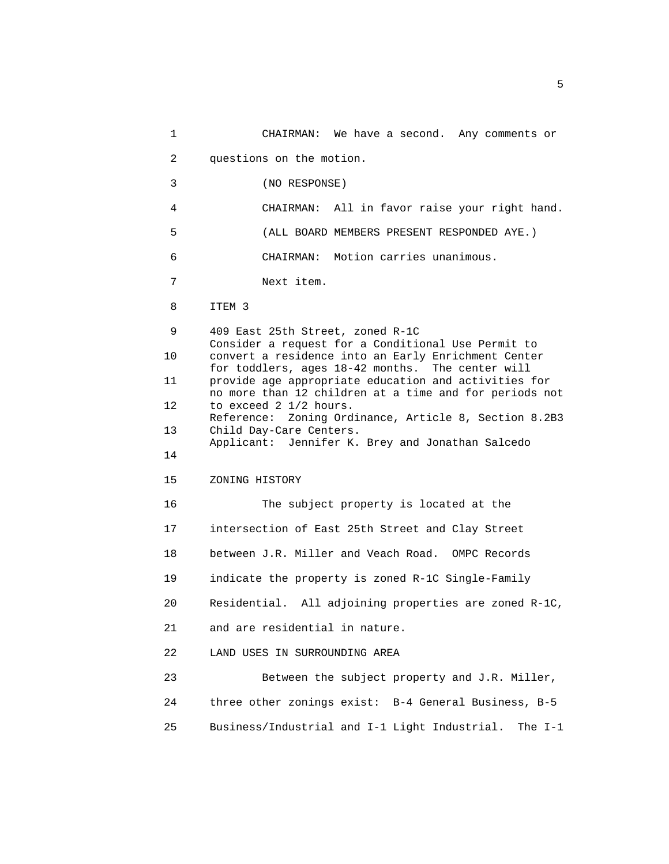1 CHAIRMAN: We have a second. Any comments or 2 questions on the motion. 3 (NO RESPONSE) 4 CHAIRMAN: All in favor raise your right hand. 5 (ALL BOARD MEMBERS PRESENT RESPONDED AYE.) 6 CHAIRMAN: Motion carries unanimous. 7 Next item. 8 ITEM 3 9 409 East 25th Street, zoned R-1C Consider a request for a Conditional Use Permit to 10 convert a residence into an Early Enrichment Center for toddlers, ages 18-42 months. The center will 11 provide age appropriate education and activities for no more than 12 children at a time and for periods not 12 to exceed 2 1/2 hours. Reference: Zoning Ordinance, Article 8, Section 8.2B3 13 Child Day-Care Centers. Applicant: Jennifer K. Brey and Jonathan Salcedo 14 15 ZONING HISTORY 16 The subject property is located at the 17 intersection of East 25th Street and Clay Street 18 between J.R. Miller and Veach Road. OMPC Records 19 indicate the property is zoned R-1C Single-Family 20 Residential. All adjoining properties are zoned R-1C, 21 and are residential in nature. 22 LAND USES IN SURROUNDING AREA 23 Between the subject property and J.R. Miller, 24 three other zonings exist: B-4 General Business, B-5 25 Business/Industrial and I-1 Light Industrial. The I-1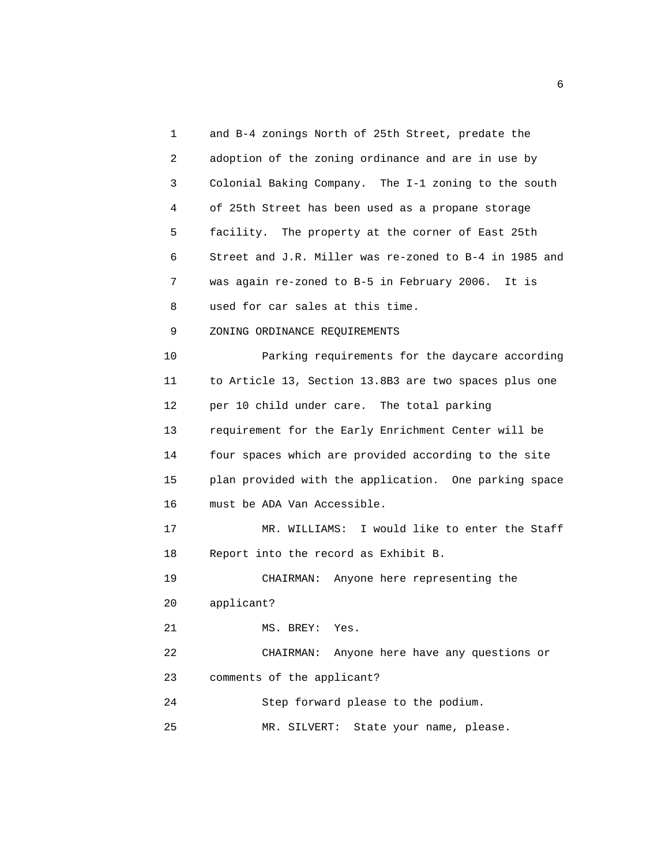1 and B-4 zonings North of 25th Street, predate the 2 adoption of the zoning ordinance and are in use by 3 Colonial Baking Company. The I-1 zoning to the south 4 of 25th Street has been used as a propane storage 5 facility. The property at the corner of East 25th 6 Street and J.R. Miller was re-zoned to B-4 in 1985 and 7 was again re-zoned to B-5 in February 2006. It is 8 used for car sales at this time. 9 ZONING ORDINANCE REQUIREMENTS 10 Parking requirements for the daycare according 11 to Article 13, Section 13.8B3 are two spaces plus one 12 per 10 child under care. The total parking 13 requirement for the Early Enrichment Center will be 14 four spaces which are provided according to the site 15 plan provided with the application. One parking space 16 must be ADA Van Accessible. 17 MR. WILLIAMS: I would like to enter the Staff 18 Report into the record as Exhibit B. 19 CHAIRMAN: Anyone here representing the 20 applicant? 21 MS. BREY: Yes. 22 CHAIRMAN: Anyone here have any questions or 23 comments of the applicant? 24 Step forward please to the podium. 25 MR. SILVERT: State your name, please.

 $\sim$  6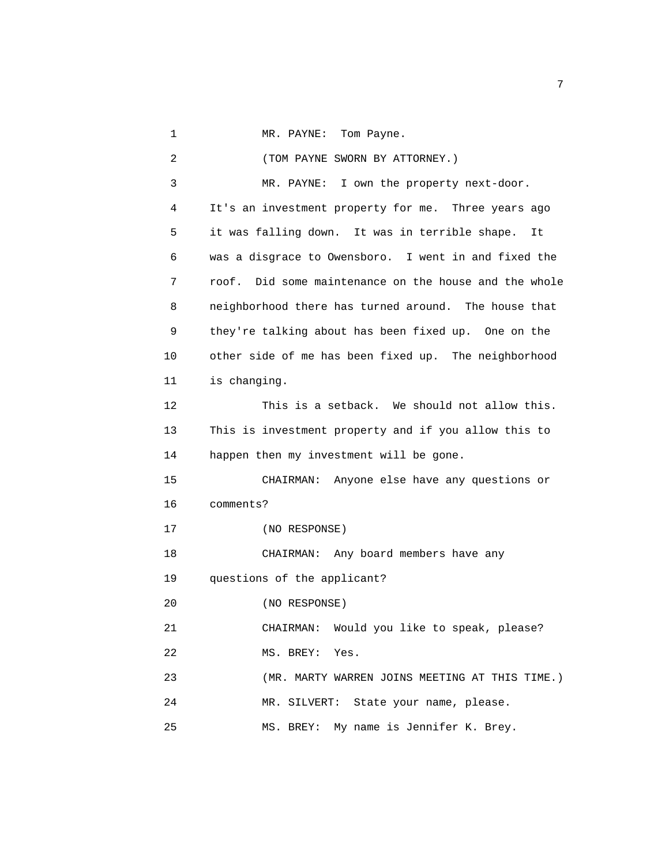1 MR. PAYNE: Tom Payne.

 2 (TOM PAYNE SWORN BY ATTORNEY.) 3 MR. PAYNE: I own the property next-door. 4 It's an investment property for me. Three years ago 5 it was falling down. It was in terrible shape. It 6 was a disgrace to Owensboro. I went in and fixed the 7 roof. Did some maintenance on the house and the whole 8 neighborhood there has turned around. The house that 9 they're talking about has been fixed up. One on the 10 other side of me has been fixed up. The neighborhood 11 is changing. 12 This is a setback. We should not allow this. 13 This is investment property and if you allow this to 14 happen then my investment will be gone. 15 CHAIRMAN: Anyone else have any questions or 16 comments? 17 (NO RESPONSE) 18 CHAIRMAN: Any board members have any 19 questions of the applicant? 20 (NO RESPONSE) 21 CHAIRMAN: Would you like to speak, please? 22 MS. BREY: Yes. 23 (MR. MARTY WARREN JOINS MEETING AT THIS TIME.) 24 MR. SILVERT: State your name, please. 25 MS. BREY: My name is Jennifer K. Brey.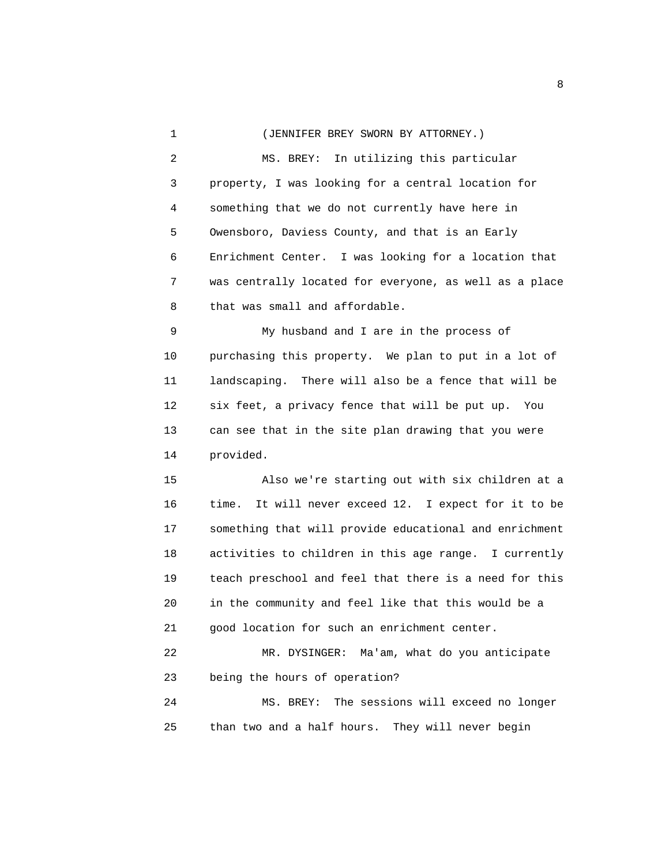1 (JENNIFER BREY SWORN BY ATTORNEY.) 2 MS. BREY: In utilizing this particular 3 property, I was looking for a central location for 4 something that we do not currently have here in 5 Owensboro, Daviess County, and that is an Early 6 Enrichment Center. I was looking for a location that 7 was centrally located for everyone, as well as a place 8 that was small and affordable.

 9 My husband and I are in the process of 10 purchasing this property. We plan to put in a lot of 11 landscaping. There will also be a fence that will be 12 six feet, a privacy fence that will be put up. You 13 can see that in the site plan drawing that you were 14 provided.

 15 Also we're starting out with six children at a 16 time. It will never exceed 12. I expect for it to be 17 something that will provide educational and enrichment 18 activities to children in this age range. I currently 19 teach preschool and feel that there is a need for this 20 in the community and feel like that this would be a 21 good location for such an enrichment center.

 22 MR. DYSINGER: Ma'am, what do you anticipate 23 being the hours of operation?

 24 MS. BREY: The sessions will exceed no longer 25 than two and a half hours. They will never begin

experience of the state of the state of the state of the state of the state of the state of the state of the s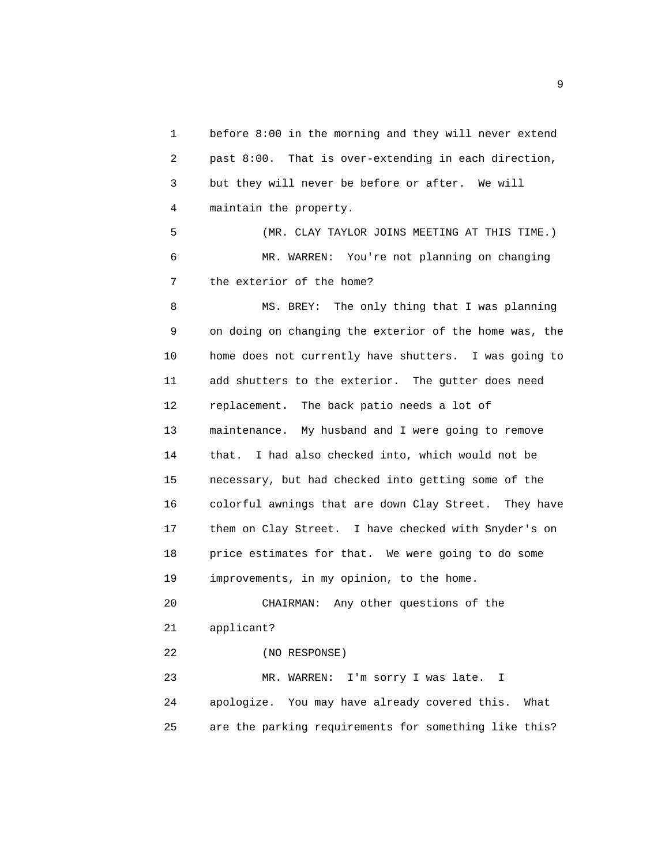1 before 8:00 in the morning and they will never extend 2 past 8:00. That is over-extending in each direction, 3 but they will never be before or after. We will 4 maintain the property. 5 (MR. CLAY TAYLOR JOINS MEETING AT THIS TIME.) 6 MR. WARREN: You're not planning on changing 7 the exterior of the home? 8 MS. BREY: The only thing that I was planning 9 on doing on changing the exterior of the home was, the 10 home does not currently have shutters. I was going to 11 add shutters to the exterior. The gutter does need 12 replacement. The back patio needs a lot of 13 maintenance. My husband and I were going to remove 14 that. I had also checked into, which would not be 15 necessary, but had checked into getting some of the 16 colorful awnings that are down Clay Street. They have 17 them on Clay Street. I have checked with Snyder's on 18 price estimates for that. We were going to do some 19 improvements, in my opinion, to the home. 20 CHAIRMAN: Any other questions of the 21 applicant? 22 (NO RESPONSE) 23 MR. WARREN: I'm sorry I was late. I 24 apologize. You may have already covered this. What 25 are the parking requirements for something like this?

experience of the state of the state of the state of the state of the state of the state of the state of the s<br>The state of the state of the state of the state of the state of the state of the state of the state of the st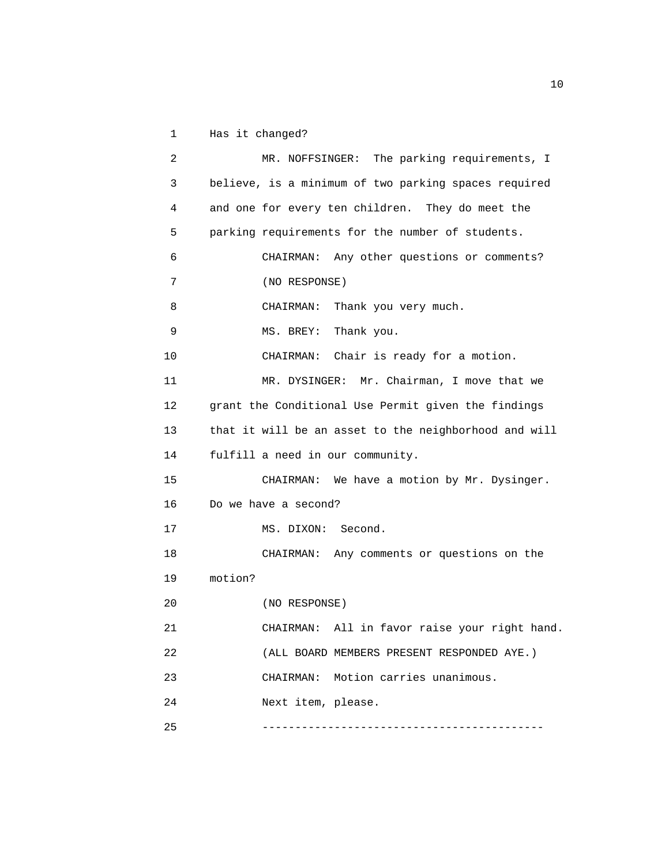1 Has it changed?

```
 2 MR. NOFFSINGER: The parking requirements, I 
 3 believe, is a minimum of two parking spaces required 
 4 and one for every ten children. They do meet the 
 5 parking requirements for the number of students. 
 6 CHAIRMAN: Any other questions or comments? 
 7 (NO RESPONSE) 
8 CHAIRMAN: Thank you very much.
 9 MS. BREY: Thank you. 
 10 CHAIRMAN: Chair is ready for a motion. 
 11 MR. DYSINGER: Mr. Chairman, I move that we 
 12 grant the Conditional Use Permit given the findings 
 13 that it will be an asset to the neighborhood and will 
 14 fulfill a need in our community. 
 15 CHAIRMAN: We have a motion by Mr. Dysinger. 
 16 Do we have a second? 
17 MS. DIXON: Second.
 18 CHAIRMAN: Any comments or questions on the 
 19 motion? 
 20 (NO RESPONSE) 
 21 CHAIRMAN: All in favor raise your right hand. 
 22 (ALL BOARD MEMBERS PRESENT RESPONDED AYE.) 
 23 CHAIRMAN: Motion carries unanimous. 
 24 Next item, please. 
 25 -------------------------------------------
```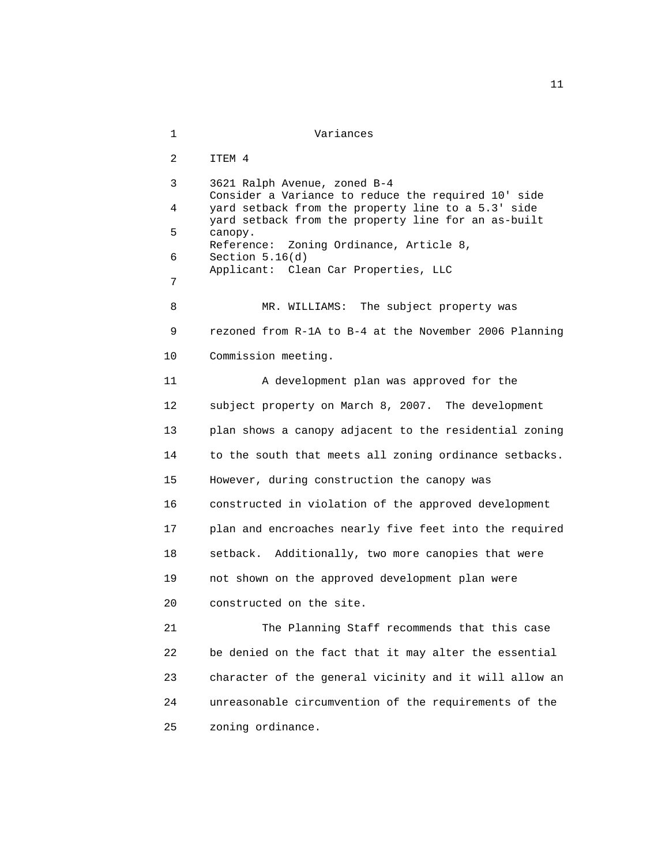1 Variances 2 ITEM 4 3 3621 Ralph Avenue, zoned B-4 Consider a Variance to reduce the required 10' side 4 yard setback from the property line to a 5.3' side yard setback from the property line for an as-built 5 canopy. Reference: Zoning Ordinance, Article 8, 6 Section 5.16(d) Applicant: Clean Car Properties, LLC 7 8 MR. WILLIAMS: The subject property was 9 rezoned from R-1A to B-4 at the November 2006 Planning 10 Commission meeting. 11 A development plan was approved for the 12 subject property on March 8, 2007. The development 13 plan shows a canopy adjacent to the residential zoning 14 to the south that meets all zoning ordinance setbacks. 15 However, during construction the canopy was 16 constructed in violation of the approved development 17 plan and encroaches nearly five feet into the required 18 setback. Additionally, two more canopies that were 19 not shown on the approved development plan were 20 constructed on the site. 21 The Planning Staff recommends that this case 22 be denied on the fact that it may alter the essential 23 character of the general vicinity and it will allow an 24 unreasonable circumvention of the requirements of the 25 zoning ordinance.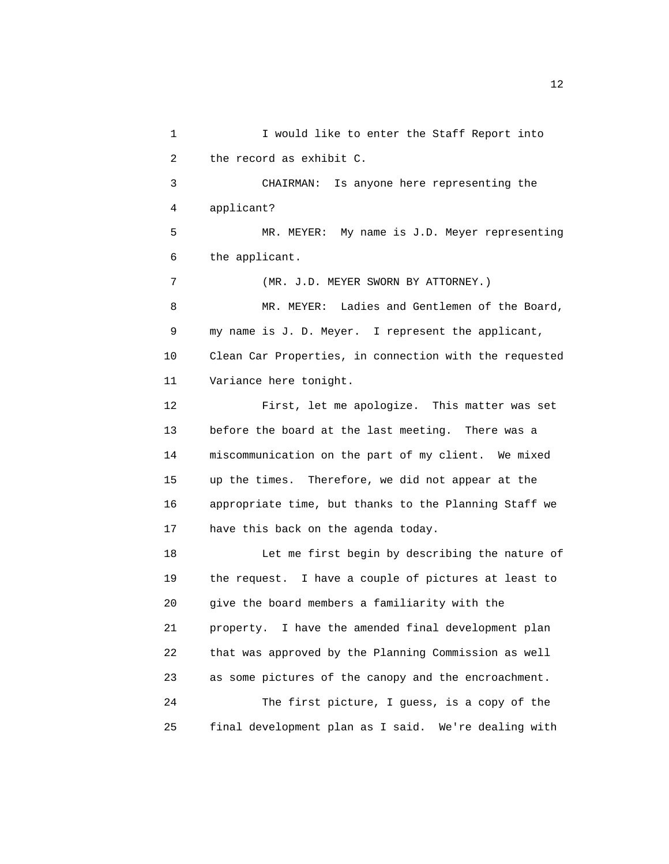1 I would like to enter the Staff Report into 2 the record as exhibit C. 3 CHAIRMAN: Is anyone here representing the 4 applicant? 5 MR. MEYER: My name is J.D. Meyer representing 6 the applicant. 7 (MR. J.D. MEYER SWORN BY ATTORNEY.) 8 MR. MEYER: Ladies and Gentlemen of the Board, 9 my name is J. D. Meyer. I represent the applicant, 10 Clean Car Properties, in connection with the requested 11 Variance here tonight. 12 First, let me apologize. This matter was set 13 before the board at the last meeting. There was a 14 miscommunication on the part of my client. We mixed 15 up the times. Therefore, we did not appear at the 16 appropriate time, but thanks to the Planning Staff we 17 have this back on the agenda today. 18 Let me first begin by describing the nature of 19 the request. I have a couple of pictures at least to 20 give the board members a familiarity with the 21 property. I have the amended final development plan 22 that was approved by the Planning Commission as well 23 as some pictures of the canopy and the encroachment. 24 The first picture, I guess, is a copy of the 25 final development plan as I said. We're dealing with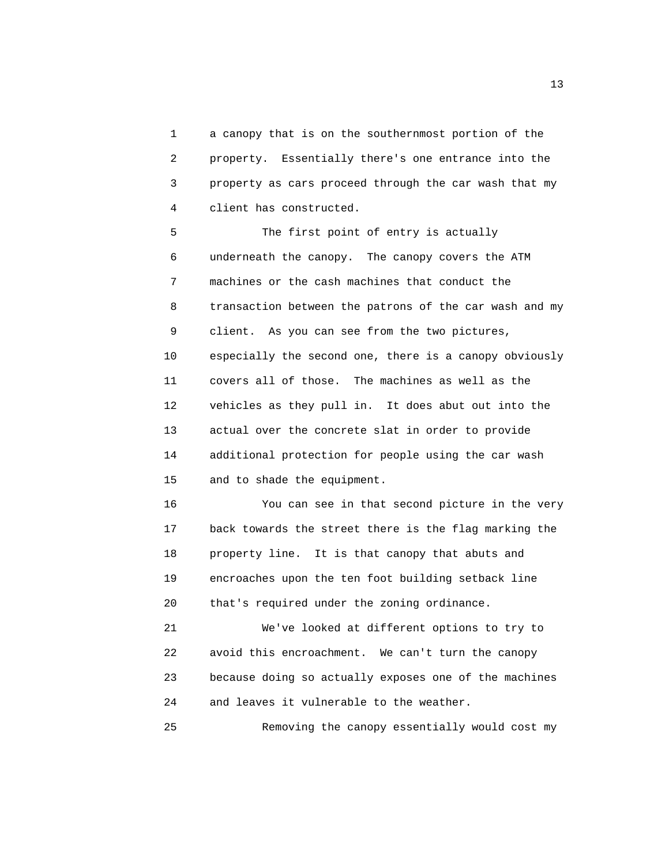1 a canopy that is on the southernmost portion of the 2 property. Essentially there's one entrance into the 3 property as cars proceed through the car wash that my 4 client has constructed.

 5 The first point of entry is actually 6 underneath the canopy. The canopy covers the ATM 7 machines or the cash machines that conduct the 8 transaction between the patrons of the car wash and my 9 client. As you can see from the two pictures, 10 especially the second one, there is a canopy obviously 11 covers all of those. The machines as well as the 12 vehicles as they pull in. It does abut out into the 13 actual over the concrete slat in order to provide 14 additional protection for people using the car wash 15 and to shade the equipment.

 16 You can see in that second picture in the very 17 back towards the street there is the flag marking the 18 property line. It is that canopy that abuts and 19 encroaches upon the ten foot building setback line 20 that's required under the zoning ordinance.

 21 We've looked at different options to try to 22 avoid this encroachment. We can't turn the canopy 23 because doing so actually exposes one of the machines 24 and leaves it vulnerable to the weather.

25 Removing the canopy essentially would cost my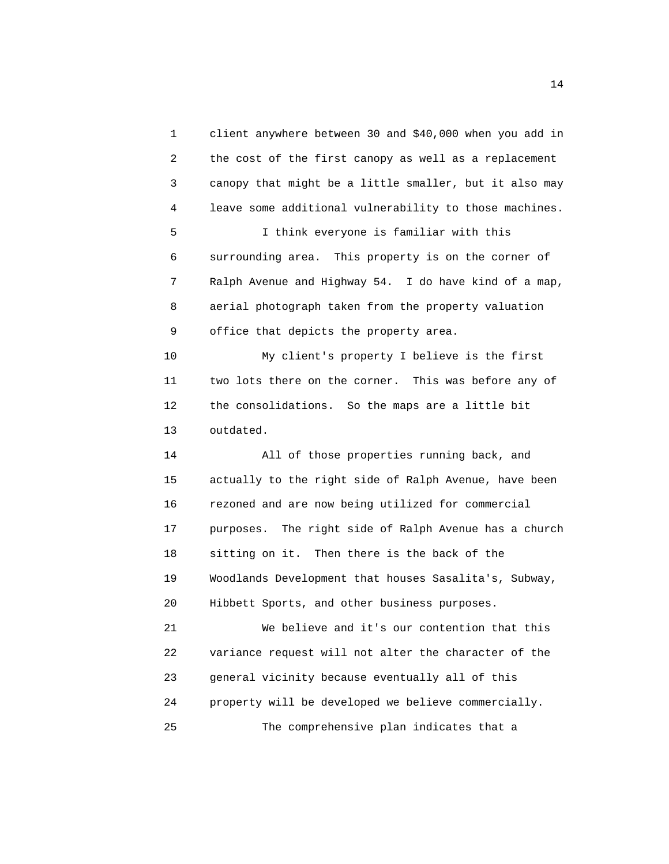1 client anywhere between 30 and \$40,000 when you add in 2 the cost of the first canopy as well as a replacement 3 canopy that might be a little smaller, but it also may 4 leave some additional vulnerability to those machines.

 5 I think everyone is familiar with this 6 surrounding area. This property is on the corner of 7 Ralph Avenue and Highway 54. I do have kind of a map, 8 aerial photograph taken from the property valuation 9 office that depicts the property area.

 10 My client's property I believe is the first 11 two lots there on the corner. This was before any of 12 the consolidations. So the maps are a little bit 13 outdated.

 14 All of those properties running back, and 15 actually to the right side of Ralph Avenue, have been 16 rezoned and are now being utilized for commercial 17 purposes. The right side of Ralph Avenue has a church 18 sitting on it. Then there is the back of the 19 Woodlands Development that houses Sasalita's, Subway, 20 Hibbett Sports, and other business purposes.

 21 We believe and it's our contention that this 22 variance request will not alter the character of the 23 general vicinity because eventually all of this 24 property will be developed we believe commercially. 25 The comprehensive plan indicates that a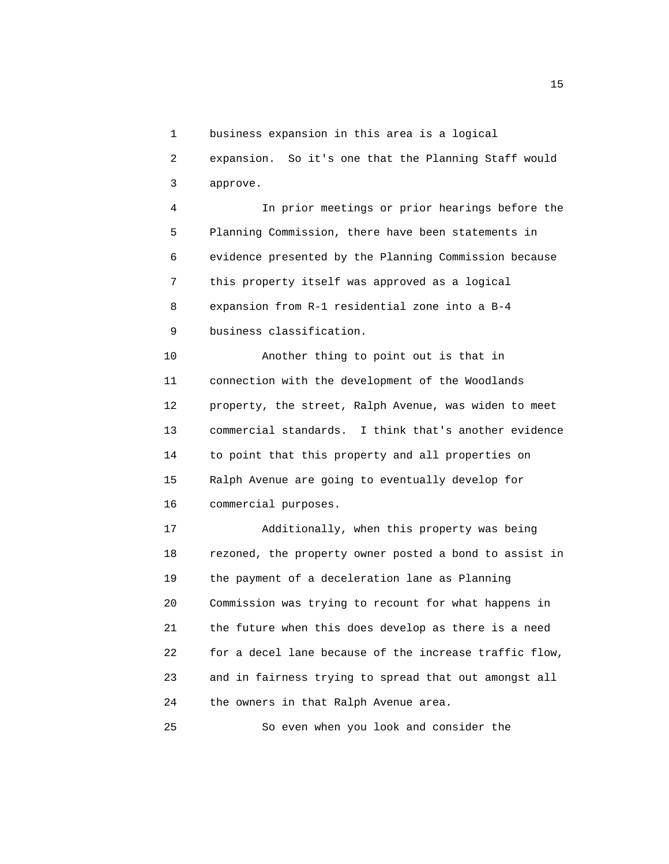1 business expansion in this area is a logical

 2 expansion. So it's one that the Planning Staff would 3 approve.

 4 In prior meetings or prior hearings before the 5 Planning Commission, there have been statements in 6 evidence presented by the Planning Commission because 7 this property itself was approved as a logical 8 expansion from R-1 residential zone into a B-4 9 business classification.

 10 Another thing to point out is that in 11 connection with the development of the Woodlands 12 property, the street, Ralph Avenue, was widen to meet 13 commercial standards. I think that's another evidence 14 to point that this property and all properties on 15 Ralph Avenue are going to eventually develop for 16 commercial purposes.

 17 Additionally, when this property was being 18 rezoned, the property owner posted a bond to assist in 19 the payment of a deceleration lane as Planning 20 Commission was trying to recount for what happens in 21 the future when this does develop as there is a need 22 for a decel lane because of the increase traffic flow, 23 and in fairness trying to spread that out amongst all 24 the owners in that Ralph Avenue area.

25 So even when you look and consider the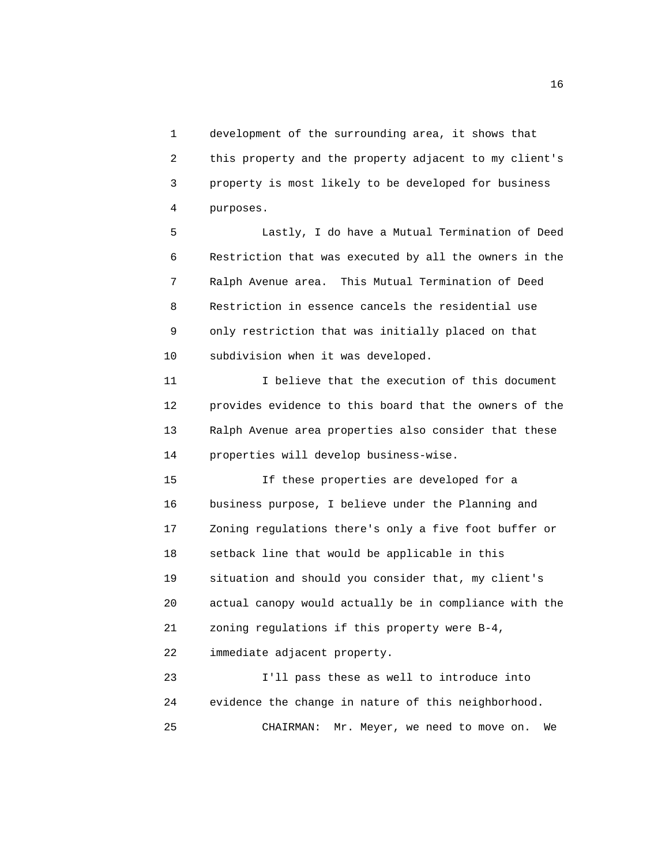1 development of the surrounding area, it shows that 2 this property and the property adjacent to my client's 3 property is most likely to be developed for business 4 purposes.

 5 Lastly, I do have a Mutual Termination of Deed 6 Restriction that was executed by all the owners in the 7 Ralph Avenue area. This Mutual Termination of Deed 8 Restriction in essence cancels the residential use 9 only restriction that was initially placed on that 10 subdivision when it was developed.

 11 I believe that the execution of this document 12 provides evidence to this board that the owners of the 13 Ralph Avenue area properties also consider that these 14 properties will develop business-wise.

 15 If these properties are developed for a 16 business purpose, I believe under the Planning and 17 Zoning regulations there's only a five foot buffer or 18 setback line that would be applicable in this 19 situation and should you consider that, my client's 20 actual canopy would actually be in compliance with the 21 zoning regulations if this property were B-4,

22 immediate adjacent property.

 23 I'll pass these as well to introduce into 24 evidence the change in nature of this neighborhood. 25 CHAIRMAN: Mr. Meyer, we need to move on. We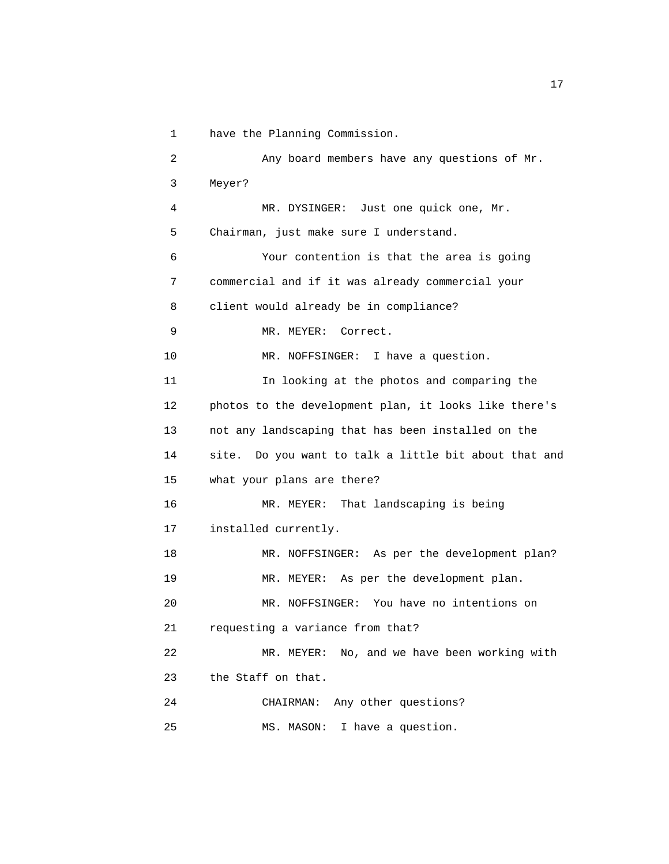1 have the Planning Commission.

```
 2 Any board members have any questions of Mr. 
 3 Meyer? 
 4 MR. DYSINGER: Just one quick one, Mr. 
 5 Chairman, just make sure I understand. 
 6 Your contention is that the area is going 
 7 commercial and if it was already commercial your 
 8 client would already be in compliance? 
 9 MR. MEYER: Correct. 
10 MR. NOFFSINGER: I have a question.
 11 In looking at the photos and comparing the 
 12 photos to the development plan, it looks like there's 
 13 not any landscaping that has been installed on the 
 14 site. Do you want to talk a little bit about that and 
 15 what your plans are there? 
 16 MR. MEYER: That landscaping is being 
 17 installed currently. 
 18 MR. NOFFSINGER: As per the development plan? 
 19 MR. MEYER: As per the development plan. 
 20 MR. NOFFSINGER: You have no intentions on 
 21 requesting a variance from that? 
 22 MR. MEYER: No, and we have been working with 
 23 the Staff on that. 
 24 CHAIRMAN: Any other questions? 
 25 MS. MASON: I have a question.
```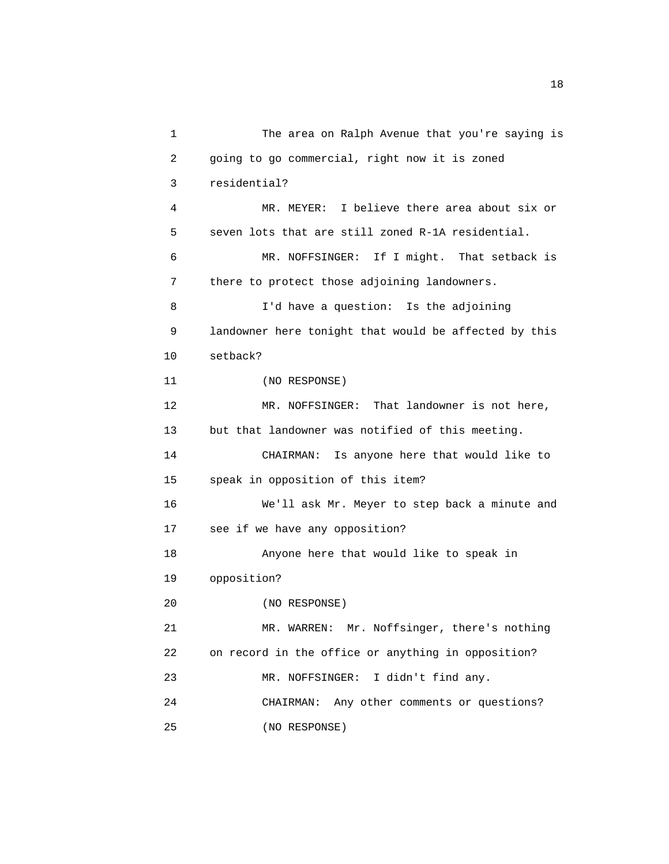1 The area on Ralph Avenue that you're saying is 2 going to go commercial, right now it is zoned 3 residential? 4 MR. MEYER: I believe there area about six or 5 seven lots that are still zoned R-1A residential. 6 MR. NOFFSINGER: If I might. That setback is 7 there to protect those adjoining landowners. 8 I'd have a question: Is the adjoining 9 landowner here tonight that would be affected by this 10 setback? 11 (NO RESPONSE) 12 MR. NOFFSINGER: That landowner is not here, 13 but that landowner was notified of this meeting. 14 CHAIRMAN: Is anyone here that would like to 15 speak in opposition of this item? 16 We'll ask Mr. Meyer to step back a minute and 17 see if we have any opposition? 18 Anyone here that would like to speak in 19 opposition? 20 (NO RESPONSE) 21 MR. WARREN: Mr. Noffsinger, there's nothing 22 on record in the office or anything in opposition? 23 MR. NOFFSINGER: I didn't find any. 24 CHAIRMAN: Any other comments or questions? 25 (NO RESPONSE)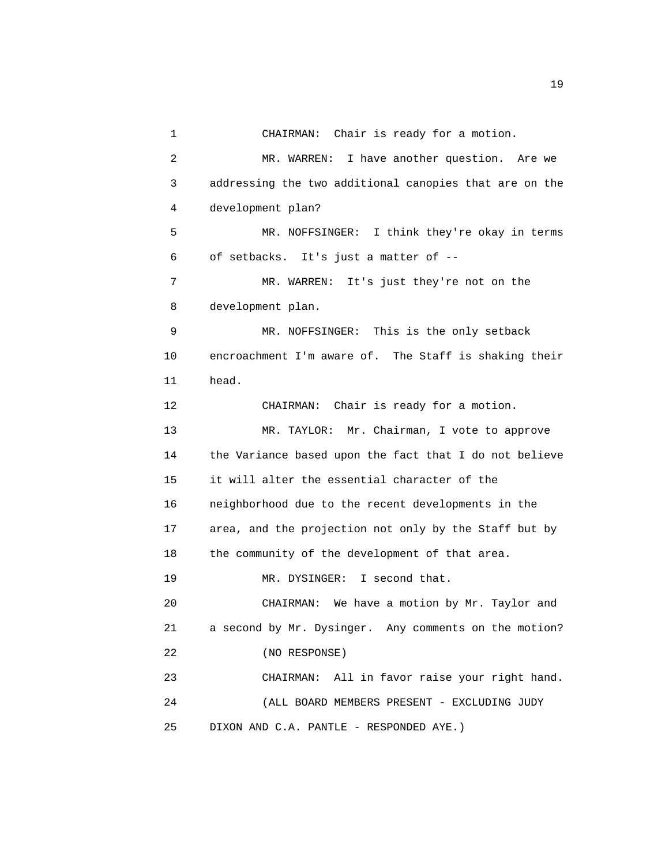1 CHAIRMAN: Chair is ready for a motion. 2 MR. WARREN: I have another question. Are we 3 addressing the two additional canopies that are on the 4 development plan? 5 MR. NOFFSINGER: I think they're okay in terms 6 of setbacks. It's just a matter of -- 7 MR. WARREN: It's just they're not on the 8 development plan. 9 MR. NOFFSINGER: This is the only setback 10 encroachment I'm aware of. The Staff is shaking their 11 head. 12 CHAIRMAN: Chair is ready for a motion. 13 MR. TAYLOR: Mr. Chairman, I vote to approve 14 the Variance based upon the fact that I do not believe 15 it will alter the essential character of the 16 neighborhood due to the recent developments in the 17 area, and the projection not only by the Staff but by 18 the community of the development of that area. 19 MR. DYSINGER: I second that. 20 CHAIRMAN: We have a motion by Mr. Taylor and 21 a second by Mr. Dysinger. Any comments on the motion? 22 (NO RESPONSE) 23 CHAIRMAN: All in favor raise your right hand. 24 (ALL BOARD MEMBERS PRESENT - EXCLUDING JUDY 25 DIXON AND C.A. PANTLE - RESPONDED AYE.)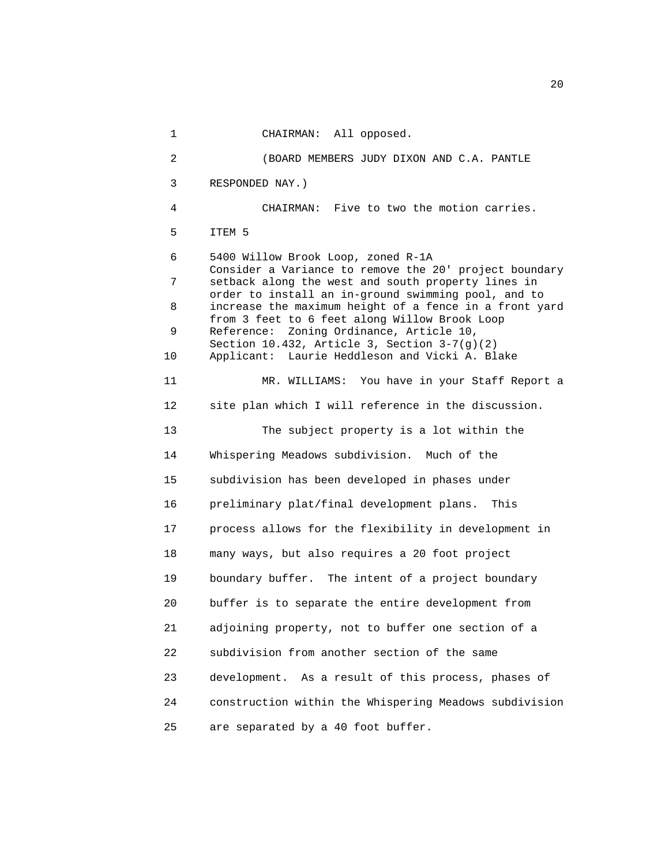1 CHAIRMAN: All opposed. 2 (BOARD MEMBERS JUDY DIXON AND C.A. PANTLE 3 RESPONDED NAY.) 4 CHAIRMAN: Five to two the motion carries. 5 ITEM 5 6 5400 Willow Brook Loop, zoned R-1A Consider a Variance to remove the 20' project boundary 7 setback along the west and south property lines in order to install an in-ground swimming pool, and to 8 increase the maximum height of a fence in a front yard from 3 feet to 6 feet along Willow Brook Loop 9 Reference: Zoning Ordinance, Article 10, Section 10.432, Article 3, Section 3-7(g)(2) 10 Applicant: Laurie Heddleson and Vicki A. Blake 11 MR. WILLIAMS: You have in your Staff Report a 12 site plan which I will reference in the discussion. 13 The subject property is a lot within the 14 Whispering Meadows subdivision. Much of the 15 subdivision has been developed in phases under 16 preliminary plat/final development plans. This 17 process allows for the flexibility in development in 18 many ways, but also requires a 20 foot project 19 boundary buffer. The intent of a project boundary 20 buffer is to separate the entire development from 21 adjoining property, not to buffer one section of a 22 subdivision from another section of the same 23 development. As a result of this process, phases of 24 construction within the Whispering Meadows subdivision 25 are separated by a 40 foot buffer.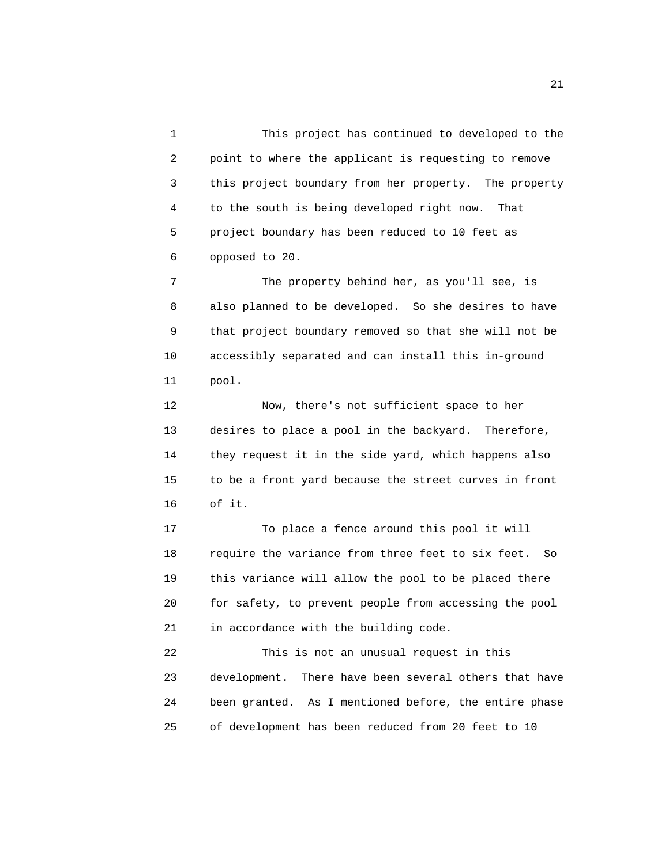1 This project has continued to developed to the 2 point to where the applicant is requesting to remove 3 this project boundary from her property. The property 4 to the south is being developed right now. That 5 project boundary has been reduced to 10 feet as 6 opposed to 20.

 7 The property behind her, as you'll see, is 8 also planned to be developed. So she desires to have 9 that project boundary removed so that she will not be 10 accessibly separated and can install this in-ground 11 pool.

 12 Now, there's not sufficient space to her 13 desires to place a pool in the backyard. Therefore, 14 they request it in the side yard, which happens also 15 to be a front yard because the street curves in front 16 of it.

 17 To place a fence around this pool it will 18 require the variance from three feet to six feet. So 19 this variance will allow the pool to be placed there 20 for safety, to prevent people from accessing the pool 21 in accordance with the building code.

 22 This is not an unusual request in this 23 development. There have been several others that have 24 been granted. As I mentioned before, the entire phase 25 of development has been reduced from 20 feet to 10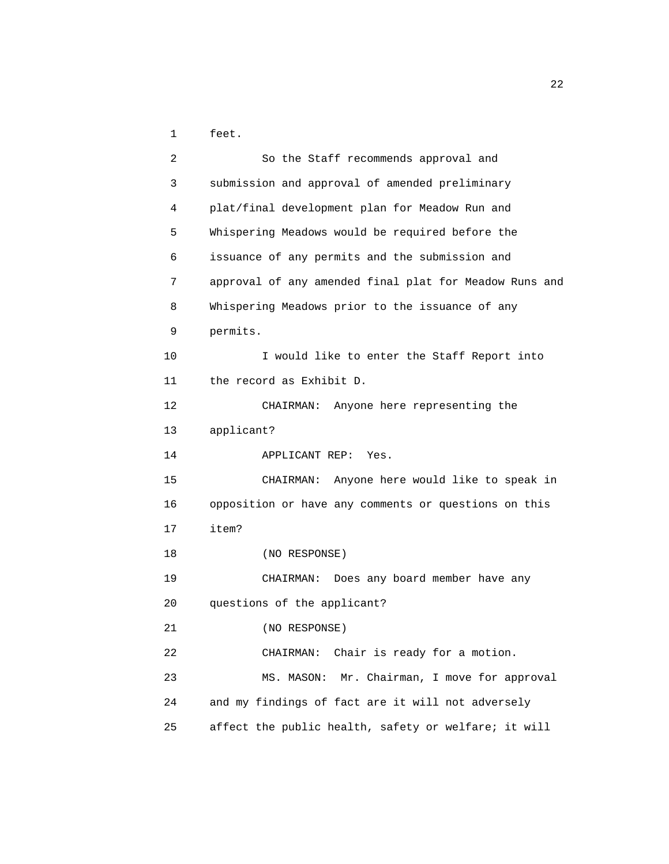1 feet.

| $\overline{2}$  | So the Staff recommends approval and                   |
|-----------------|--------------------------------------------------------|
| 3               | submission and approval of amended preliminary         |
| 4               | plat/final development plan for Meadow Run and         |
| 5               | Whispering Meadows would be required before the        |
| 6               | issuance of any permits and the submission and         |
| 7               | approval of any amended final plat for Meadow Runs and |
| 8               | Whispering Meadows prior to the issuance of any        |
| 9               | permits.                                               |
| 10              | I would like to enter the Staff Report into            |
| 11              | the record as Exhibit D.                               |
| 12 <sup>2</sup> | CHAIRMAN: Anyone here representing the                 |
| 13              | applicant?                                             |
| 14              | APPLICANT REP: Yes.                                    |
| 15              | CHAIRMAN: Anyone here would like to speak in           |
| 16              | opposition or have any comments or questions on this   |
| 17              | item?                                                  |
| 18              | (NO RESPONSE)                                          |
| 19              | CHAIRMAN: Does any board member have any               |
| 20              | questions of the applicant?                            |
| 21              | (NO RESPONSE)                                          |
| 22              | Chair is ready for a motion.<br>CHAIRMAN:              |
| 23              | Mr. Chairman, I move for approval<br>MS. MASON:        |
| 24              | and my findings of fact are it will not adversely      |
| 25              | affect the public health, safety or welfare; it will   |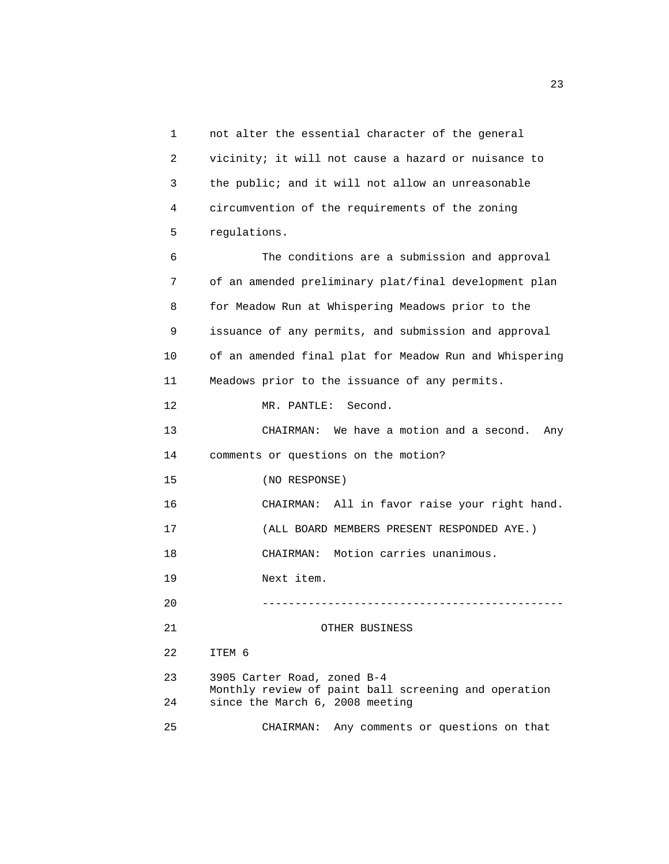1 not alter the essential character of the general 2 vicinity; it will not cause a hazard or nuisance to 3 the public; and it will not allow an unreasonable 4 circumvention of the requirements of the zoning 5 regulations. 6 The conditions are a submission and approval 7 of an amended preliminary plat/final development plan 8 for Meadow Run at Whispering Meadows prior to the 9 issuance of any permits, and submission and approval 10 of an amended final plat for Meadow Run and Whispering 11 Meadows prior to the issuance of any permits. 12 MR. PANTLE: Second. 13 CHAIRMAN: We have a motion and a second. Any 14 comments or questions on the motion? 15 (NO RESPONSE) 16 CHAIRMAN: All in favor raise your right hand. 17 (ALL BOARD MEMBERS PRESENT RESPONDED AYE.) 18 CHAIRMAN: Motion carries unanimous. 19 Next item. 20 ---------------------------------------------- 21 OTHER BUSINESS 22 ITEM 6 23 3905 Carter Road, zoned B-4 Monthly review of paint ball screening and operation 24 since the March 6, 2008 meeting 25 CHAIRMAN: Any comments or questions on that

23 and 23 and 23 and 23 and 23 and 23 and 23 and 23 and 23 and 23 and 23 and 23 and 23 and 23 and 23 and 23 and 23 and 24 and 25 and 25 and 26 and 26 and 26 and 26 and 26 and 26 and 26 and 26 and 26 and 26 and 26 and 26 an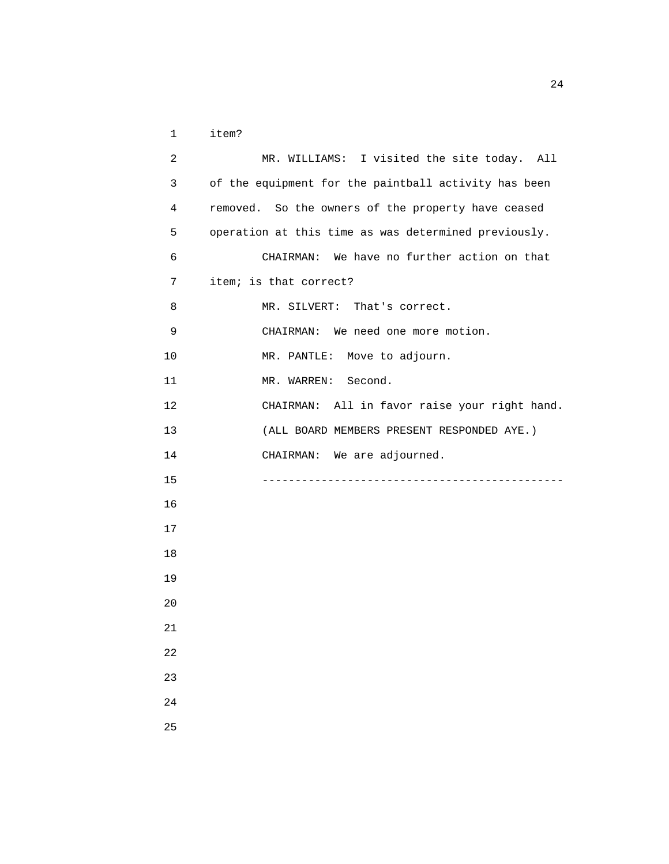| $\mathbf 1$    | item?                                                |
|----------------|------------------------------------------------------|
| $\overline{a}$ | MR. WILLIAMS: I visited the site today. All          |
| 3              | of the equipment for the paintball activity has been |
| 4              | removed. So the owners of the property have ceased   |
| 5              | operation at this time as was determined previously. |
| 6              | CHAIRMAN: We have no further action on that          |
| 7              | item; is that correct?                               |
| 8              | MR. SILVERT: That's correct.                         |
| 9              | CHAIRMAN: We need one more motion.                   |
| 10             | MR. PANTLE: Move to adjourn.                         |
| 11             | MR. WARREN: Second.                                  |
| 12             | CHAIRMAN: All in favor raise your right hand.        |
| 13             | (ALL BOARD MEMBERS PRESENT RESPONDED AYE.)           |
| 14             | CHAIRMAN: We are adjourned.                          |
| 15             |                                                      |
| 16             |                                                      |
| 17             |                                                      |
| 18             |                                                      |
| 19             |                                                      |
| 20             |                                                      |
| 21             |                                                      |
| 22             |                                                      |
| 23             |                                                      |
| 24             |                                                      |
| 25             |                                                      |